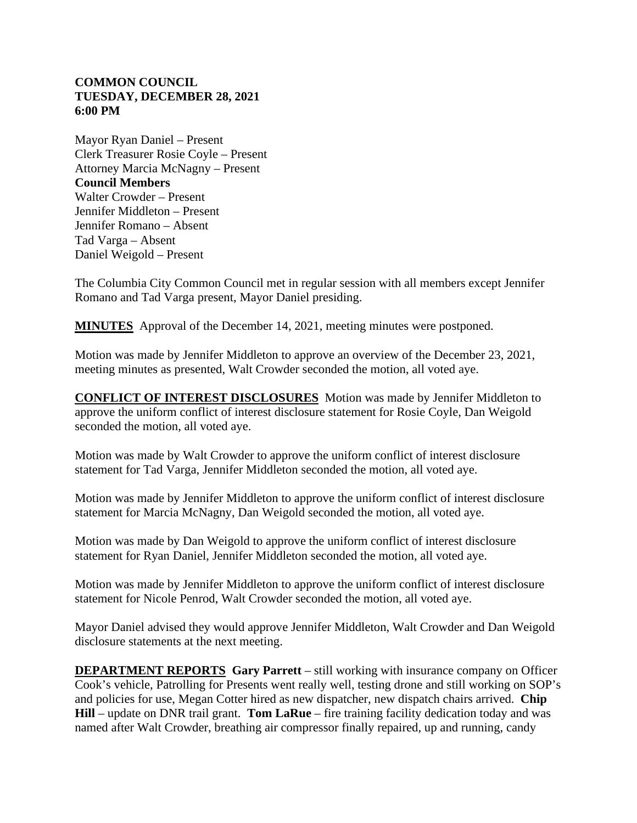## **COMMON COUNCIL TUESDAY, DECEMBER 28, 2021 6:00 PM**

Mayor Ryan Daniel – Present Clerk Treasurer Rosie Coyle – Present Attorney Marcia McNagny – Present **Council Members** Walter Crowder – Present Jennifer Middleton – Present Jennifer Romano – Absent Tad Varga – Absent Daniel Weigold – Present

The Columbia City Common Council met in regular session with all members except Jennifer Romano and Tad Varga present, Mayor Daniel presiding.

**MINUTES** Approval of the December 14, 2021, meeting minutes were postponed.

Motion was made by Jennifer Middleton to approve an overview of the December 23, 2021, meeting minutes as presented, Walt Crowder seconded the motion, all voted aye.

**CONFLICT OF INTEREST DISCLOSURES** Motion was made by Jennifer Middleton to approve the uniform conflict of interest disclosure statement for Rosie Coyle, Dan Weigold seconded the motion, all voted aye.

Motion was made by Walt Crowder to approve the uniform conflict of interest disclosure statement for Tad Varga, Jennifer Middleton seconded the motion, all voted aye.

Motion was made by Jennifer Middleton to approve the uniform conflict of interest disclosure statement for Marcia McNagny, Dan Weigold seconded the motion, all voted aye.

Motion was made by Dan Weigold to approve the uniform conflict of interest disclosure statement for Ryan Daniel, Jennifer Middleton seconded the motion, all voted aye.

Motion was made by Jennifer Middleton to approve the uniform conflict of interest disclosure statement for Nicole Penrod, Walt Crowder seconded the motion, all voted aye.

Mayor Daniel advised they would approve Jennifer Middleton, Walt Crowder and Dan Weigold disclosure statements at the next meeting.

**DEPARTMENT REPORTS Gary Parrett** – still working with insurance company on Officer Cook's vehicle, Patrolling for Presents went really well, testing drone and still working on SOP's and policies for use, Megan Cotter hired as new dispatcher, new dispatch chairs arrived. **Chip Hill** – update on DNR trail grant. **Tom LaRue** – fire training facility dedication today and was named after Walt Crowder, breathing air compressor finally repaired, up and running, candy